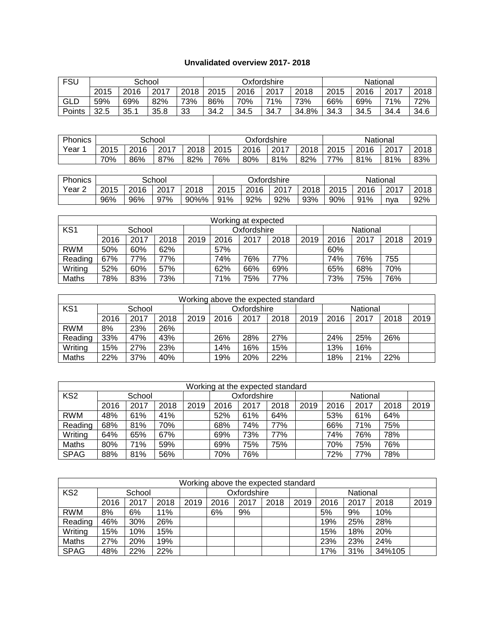## **Unvalidated overview 2017- 2018**

| <b>FSU</b> |      |      | School |      |      |                      | Oxfordshire |       |      | National |      | 2018 |  |  |
|------------|------|------|--------|------|------|----------------------|-------------|-------|------|----------|------|------|--|--|
|            | 2015 | 2016 | 2017   | 2018 | 2015 | 2016<br>2017<br>2018 |             |       |      | 2016     | 2017 |      |  |  |
| GLD        | 59%  | 69%  | 82%    | 73%  | 86%  | 70%                  | 71%         | 73%   | 66%  | 69%      | 71%  | 72%  |  |  |
| Points     | 32.5 | 35.1 | 35.8   | 33   | 34.2 | 34.5                 | 34.7        | 34.8% | 34.3 | 34.5     | 34.4 | 34.6 |  |  |

| Phonics |                              | School |     |     |      | Oxfordshire |      |      |      | National |      |      |  |
|---------|------------------------------|--------|-----|-----|------|-------------|------|------|------|----------|------|------|--|
| Year    | 2015<br>2017<br>2018<br>2016 |        |     |     | 2015 | 2016        | 2017 | 2018 | 2015 | 2016     | 2017 | 2018 |  |
|         | 70%                          | 86%    | 87% | 82% | 76%  | 80%         | 81%  | 82%  | 77%  | 81%      | 81%  | 83%  |  |

| Phonics |                              |     | School |      |      | Oxfordshire |      |      |      | National |      |      |  |  |  |
|---------|------------------------------|-----|--------|------|------|-------------|------|------|------|----------|------|------|--|--|--|
| Year    | 2017<br>2015<br>2018<br>2016 |     |        |      | 2015 | 2016        | 2017 | 2018 | 2015 | 2016     | 2017 | 2018 |  |  |  |
|         | 96%                          | 96% | 97%    | 90%% | 91%  | 92%         | 92%  | 93%  | 90%  | 91%      | nva  | 92%  |  |  |  |

| Working at expected |        |      |      |      |             |      |      |      |      |          |      |      |
|---------------------|--------|------|------|------|-------------|------|------|------|------|----------|------|------|
| KS <sub>1</sub>     | School |      |      |      | Oxfordshire |      |      |      |      | National |      |      |
|                     | 2016   | 2017 | 2018 | 2019 | 2016        | 2017 | 2018 | 2019 | 2016 | 2017     | 2018 | 2019 |
| <b>RWM</b>          | 50%    | 60%  | 62%  |      | 57%         |      |      |      | 60%  |          |      |      |
| Reading             | 67%    | 77%  | 77%  |      | 74%         | 76%  | 77%  |      | 74%  | 76%      | 755  |      |
| Writing             | 52%    | 60%  | 57%  |      | 62%         | 66%  | 69%  |      | 65%  | 68%      | 70%  |      |
| Maths               | 78%    | 83%  | 73%  |      | 71%         | 75%  | 77%  |      | 73%  | 75%      | 76%  |      |

| Working above the expected standard |                              |     |     |  |      |                         |      |      |      |      |      |      |
|-------------------------------------|------------------------------|-----|-----|--|------|-------------------------|------|------|------|------|------|------|
| KS <sub>1</sub>                     | School                       |     |     |  |      | Oxfordshire<br>National |      |      |      |      |      |      |
|                                     | 2016<br>2017<br>2018<br>2019 |     |     |  | 2016 | 2017                    | 2018 | 2019 | 2016 | 2017 | 2018 | 2019 |
| <b>RWM</b>                          | 8%                           | 23% | 26% |  |      |                         |      |      |      |      |      |      |
| Reading                             | 33%                          | 47% | 43% |  | 26%  | 28%                     | 27%  |      | 24%  | 25%  | 26%  |      |
| Writing                             | 15%                          | 27% | 23% |  | 14%  | 16%                     | 15%  |      | 13%  | 16%  |      |      |
| Maths                               | 22%                          | 37% | 40% |  | 19%  | 20%                     | 22%  |      | 18%  | 21%  | 22%  |      |

| Working at the expected standard |        |      |      |      |             |      |      |      |      |          |      |      |
|----------------------------------|--------|------|------|------|-------------|------|------|------|------|----------|------|------|
| KS <sub>2</sub>                  | School |      |      |      | Oxfordshire |      |      |      |      | National |      |      |
|                                  | 2016   | 2017 | 2018 | 2019 | 2016        | 2017 | 2018 | 2019 | 2016 | 2017     | 2018 | 2019 |
| <b>RWM</b>                       | 48%    | 61%  | 41%  |      | 52%         | 61%  | 64%  |      | 53%  | 61%      | 64%  |      |
| Reading                          | 68%    | 81%  | 70%  |      | 68%         | 74%  | 77%  |      | 66%  | 71%      | 75%  |      |
| Writing                          | 64%    | 65%  | 67%  |      | 69%         | 73%  | 77%  |      | 74%  | 76%      | 78%  |      |
| Maths                            | 80%    | 71%  | 59%  |      | 69%         | 75%  | 75%  |      | 70%  | 75%      | 76%  |      |
| <b>SPAG</b>                      | 88%    | 81%  | 56%  |      | 70%         | 76%  |      |      | 72%  | 77%      | 78%  |      |

| Working above the expected standard |                      |     |     |      |      |             |      |      |          |      |        |      |
|-------------------------------------|----------------------|-----|-----|------|------|-------------|------|------|----------|------|--------|------|
| KS <sub>2</sub>                     | School               |     |     |      |      | Oxfordshire |      |      | National |      |        |      |
|                                     | 2016<br>2017<br>2018 |     |     | 2019 | 2016 | 2017        | 2018 | 2019 | 2016     | 2017 | 2018   | 2019 |
| <b>RWM</b>                          | 8%                   | 6%  | 11% |      | 6%   | 9%          |      |      | 5%       | 9%   | 10%    |      |
| Reading                             | 46%                  | 30% | 26% |      |      |             |      |      | 19%      | 25%  | 28%    |      |
| Writing                             | 15%                  | 10% | 15% |      |      |             |      |      | 15%      | 18%  | 20%    |      |
| Maths                               | 27%                  | 20% | 19% |      |      |             |      |      | 23%      | 23%  | 24%    |      |
| <b>SPAG</b>                         | 48%                  | 22% | 22% |      |      |             |      |      | 17%      | 31%  | 34%105 |      |